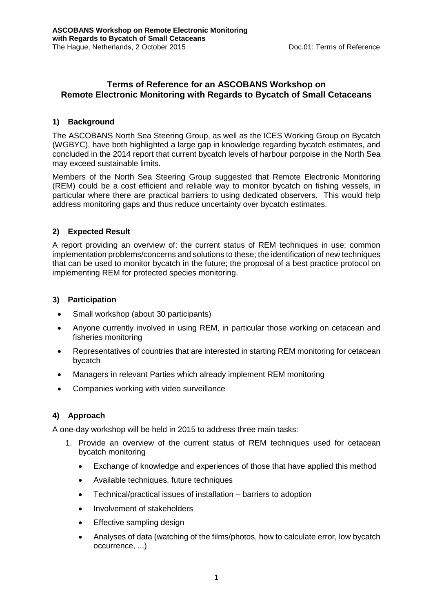# **Terms of Reference for an ASCOBANS Workshop on Remote Electronic Monitoring with Regards to Bycatch of Small Cetaceans**

## **1) Background**

The ASCOBANS North Sea Steering Group, as well as the ICES Working Group on Bycatch (WGBYC), have both highlighted a large gap in knowledge regarding bycatch estimates, and concluded in the 2014 report that current bycatch levels of harbour porpoise in the North Sea may exceed sustainable limits.

Members of the North Sea Steering Group suggested that Remote Electronic Monitoring (REM) could be a cost efficient and reliable way to monitor bycatch on fishing vessels, in particular where there are practical barriers to using dedicated observers. This would help address monitoring gaps and thus reduce uncertainty over bycatch estimates.

## **2) Expected Result**

A report providing an overview of: the current status of REM techniques in use; common implementation problems/concerns and solutions to these; the identification of new techniques that can be used to monitor bycatch in the future; the proposal of a best practice protocol on implementing REM for protected species monitoring.

### **3) Participation**

- Small workshop (about 30 participants)
- Anyone currently involved in using REM, in particular those working on cetacean and fisheries monitoring
- Representatives of countries that are interested in starting REM monitoring for cetacean bycatch
- Managers in relevant Parties which already implement REM monitoring
- Companies working with video surveillance

# **4) Approach**

A one-day workshop will be held in 2015 to address three main tasks:

- 1. Provide an overview of the current status of REM techniques used for cetacean bycatch monitoring
	- Exchange of knowledge and experiences of those that have applied this method
	- Available techniques, future techniques
	- Technical/practical issues of installation barriers to adoption
	- Involvement of stakeholders
	- Effective sampling design
	- Analyses of data (watching of the films/photos, how to calculate error, low bycatch occurrence, ...)